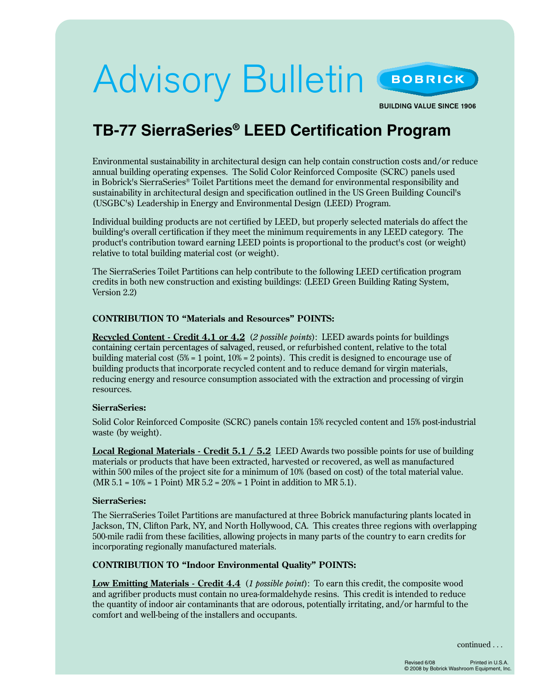# **Advisory Bulletin CBOBRICK**

Building Value since 1906

# **TB-77 SierraSeries® LEED Certification Program**

Environmental sustainability in architectural design can help contain construction costs and/or reduce annual building operating expenses. The Solid Color Reinforced Composite (SCRC) panels used in Bobrick's SierraSeries® Toilet Partitions meet the demand for environmental responsibility and sustainability in architectural design and specification outlined in the US Green Building Council's (USGBC's) Leadership in Energy and Environmental Design (LEED) Program.

Individual building products are not certified by LEED, but properly selected materials do affect the building's overall certification if they meet the minimum requirements in any LEED category. The product's contribution toward earning LEED points is proportional to the product's cost (or weight) relative to total building material cost (or weight).

The SierraSeries Toilet Partitions can help contribute to the following LEED certification program credits in both new construction and existing buildings: (LEED Green Building Rating System, Version 2.2)

## **CONTRIBUTION TO "Materials and Resources" POINTS:**

**Recycled Content - Credit 4.1 or 4.2** (*2 possible points*): LEED awards points for buildings containing certain percentages of salvaged, reused, or refurbished content, relative to the total building material cost (5% = 1 point, 10% = 2 points). This credit is designed to encourage use of building products that incorporate recycled content and to reduce demand for virgin materials, reducing energy and resource consumption associated with the extraction and processing of virgin resources.

#### **SierraSeries:**

Solid Color Reinforced Composite (SCRC) panels contain 15% recycled content and 15% post-industrial waste (by weight).

**Local Regional Materials - Credit 5.1 / 5.2** LEED Awards two possible points for use of building materials or products that have been extracted, harvested or recovered, as well as manufactured within 500 miles of the project site for a minimum of 10% (based on cost) of the total material value. (MR  $5.1 = 10\% = 1$  Point) MR  $5.2 = 20\% = 1$  Point in addition to MR  $5.1$ ).

#### **SierraSeries:**

The SierraSeries Toilet Partitions are manufactured at three Bobrick manufacturing plants located in Jackson, TN, Clifton Park, NY, and North Hollywood, CA. This creates three regions with overlapping 500-mile radii from these facilities, allowing projects in many parts of the country to earn credits for incorporating regionally manufactured materials.

## **CONTRIBUTION TO "Indoor Environmental Quality" POINTS:**

**Low Emitting Materials - Credit 4.4** (*1 possible point*): To earn this credit, the composite wood and agrifiber products must contain no urea-formaldehyde resins. This credit is intended to reduce the quantity of indoor air contaminants that are odorous, potentially irritating, and/or harmful to the comfort and well-being of the installers and occupants.

continued . . .